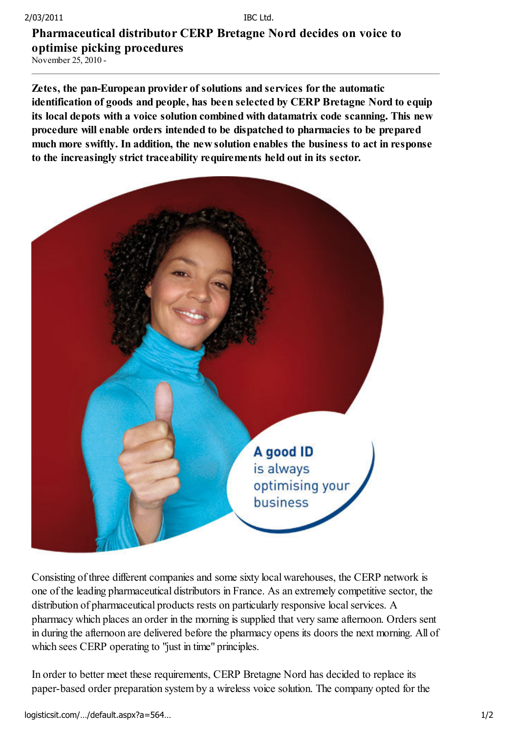## Pharmaceutical distributor CERP Bretagne Nord decides on voice to optimise picking procedures

November 25, 2010 -

Zetes, the pan-European provider of solutions and services for the automatic identification of goods and people, has been selected by CERP Bretagne Nord to equip its local depots with a voice solution combined with datamatrix code scanning. This new procedure will enable orders intended to be dispatched to pharmacies to be prepared much more swiftly. In addition, the new solution enables the business to act in response to the increasingly strict traceability requirements held out in its sector.



Consisting of three different companies and some sixty local warehouses, the CERP network is one of the leading pharmaceutical distributors in France. As an extremely competitive sector, the distribution of pharmaceutical products rests on particularly responsive local services. A pharmacy which places an order in the morning is supplied that very same afternoon. Orders sent in during the afternoon are delivered before the pharmacy opens its doors the next morning. All of which sees CERP operating to "just in time" principles.

In order to better meet these requirements, CERP Bretagne Nord has decided to replace its paper-based order preparation system by a wireless voice solution. The company opted for the